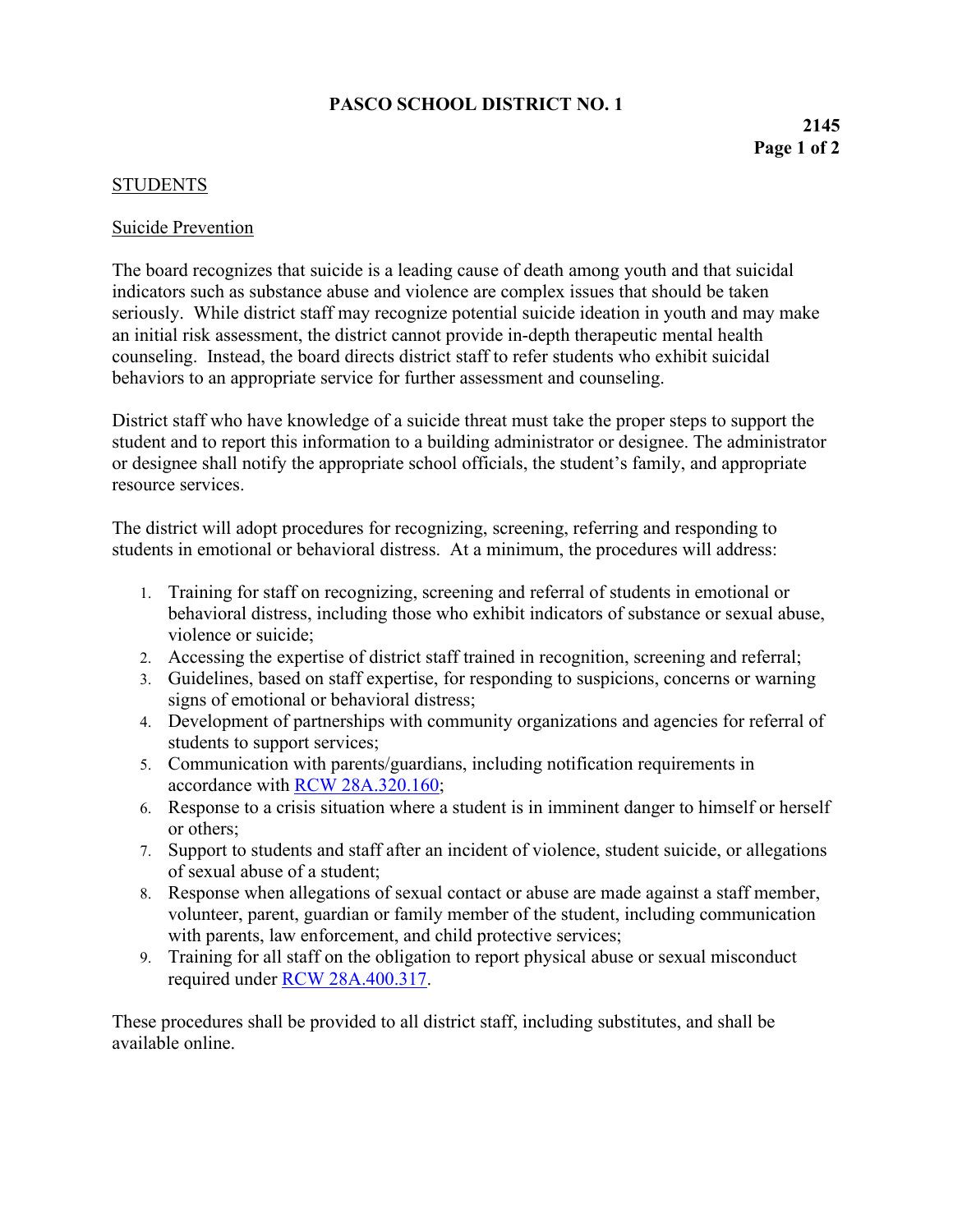## **PASCO SCHOOL DISTRICT NO. 1**

## STUDENTS

## Suicide Prevention

The board recognizes that suicide is a leading cause of death among youth and that suicidal indicators such as substance abuse and violence are complex issues that should be taken seriously. While district staff may recognize potential suicide ideation in youth and may make an initial risk assessment, the district cannot provide in-depth therapeutic mental health counseling. Instead, the board directs district staff to refer students who exhibit suicidal behaviors to an appropriate service for further assessment and counseling.

District staff who have knowledge of a suicide threat must take the proper steps to support the student and to report this information to a building administrator or designee. The administrator or designee shall notify the appropriate school officials, the student's family, and appropriate resource services.

The district will adopt procedures for recognizing, screening, referring and responding to students in emotional or behavioral distress. At a minimum, the procedures will address:

- 1. Training for staff on recognizing, screening and referral of students in emotional or behavioral distress, including those who exhibit indicators of substance or sexual abuse, violence or suicide;
- 2. Accessing the expertise of district staff trained in recognition, screening and referral;
- 3. Guidelines, based on staff expertise, for responding to suspicions, concerns or warning signs of emotional or behavioral distress;
- 4. Development of partnerships with community organizations and agencies for referral of students to support services;
- 5. Communication with parents/guardians, including notification requirements in accordance with [RCW 28A.320.160;](http://app.leg.wa.gov/rcw/default.aspx?cite=28A.320.160)
- 6. Response to a crisis situation where a student is in imminent danger to himself or herself or others;
- 7. Support to students and staff after an incident of violence, student suicide, or allegations of sexual abuse of a student;
- 8. Response when allegations of sexual contact or abuse are made against a staff member, volunteer, parent, guardian or family member of the student, including communication with parents, law enforcement, and child protective services;
- 9. Training for all staff on the obligation to report physical abuse or sexual misconduct required under [RCW 28A.400.317.](http://apps.leg.wa.gov/rcw/default.aspx?cite=28A.400.317)

These procedures shall be provided to all district staff, including substitutes, and shall be available online.